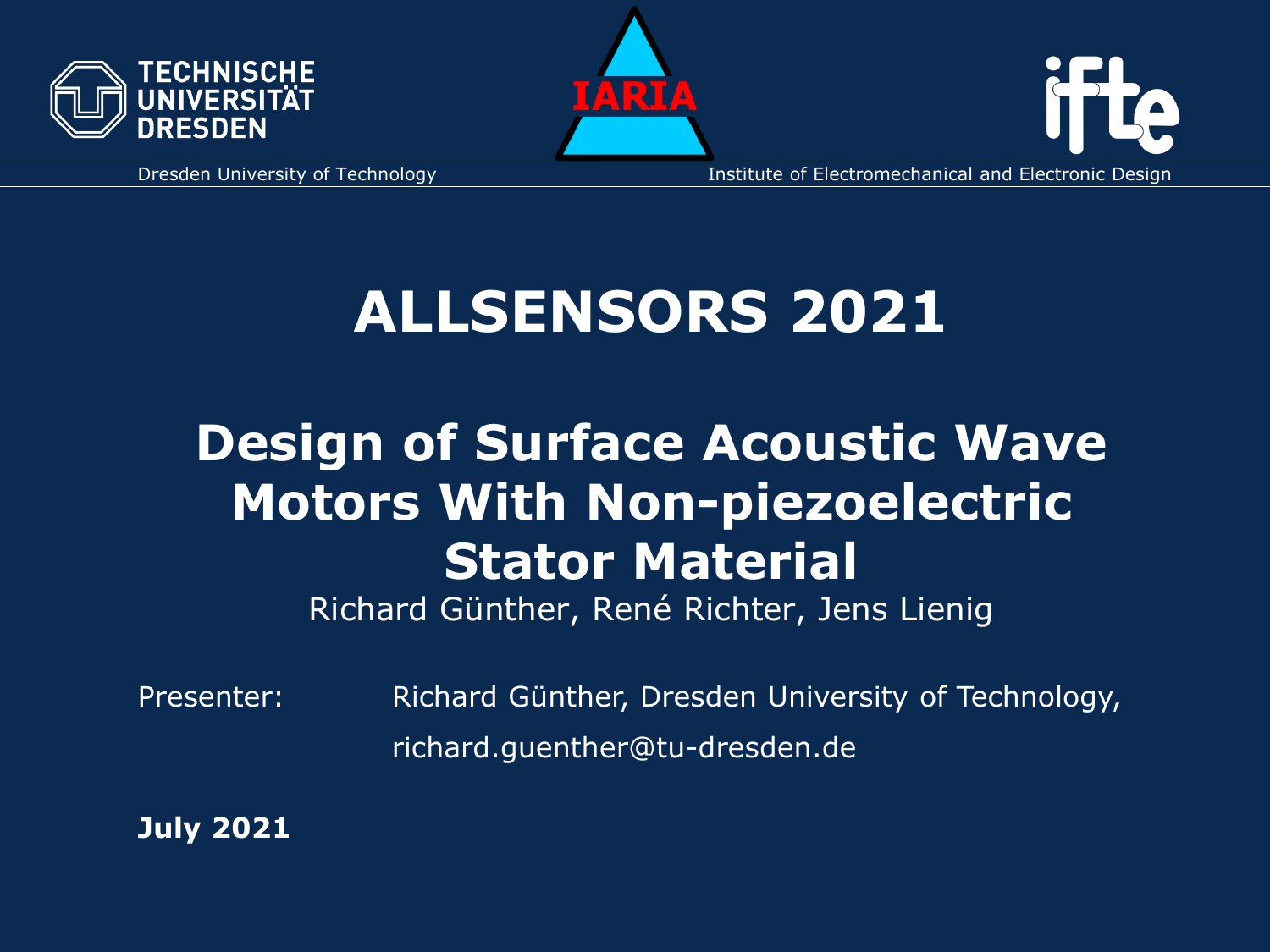





Dresden University of Technology **Institute of Electromechanical and Electronic Design** 

# **ALLSENSORS 2021**

# **Design of Surface Acoustic Wave Motors With Non-piezoelectric Stator Material**

Richard Günther, René Richter, Jens Lienig

Presenter: Richard Günther, Dresden University of Technology, richard.guenther@tu-dresden.de

**July 2021**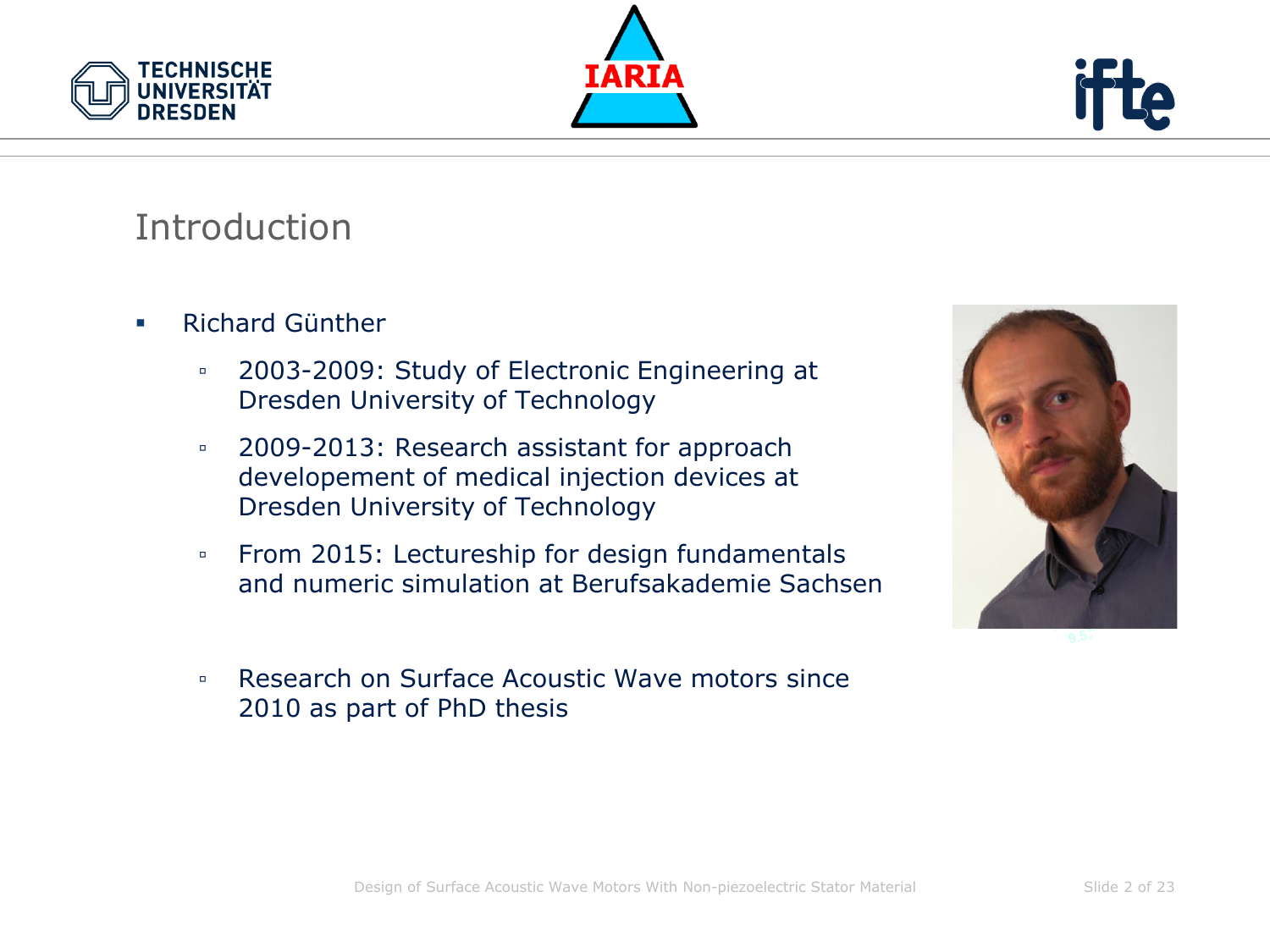





### Introduction

- **E** Richard Günther
	- 2003-2009: Study of Electronic Engineering at Dresden University of Technology
	- 2009-2013: Research assistant for approach developement of medical injection devices at Dresden University of Technology
	- From 2015: Lectureship for design fundamentals and numeric simulation at Berufsakademie Sachsen



▫ Research on Surface Acoustic Wave motors since 2010 as part of PhD thesis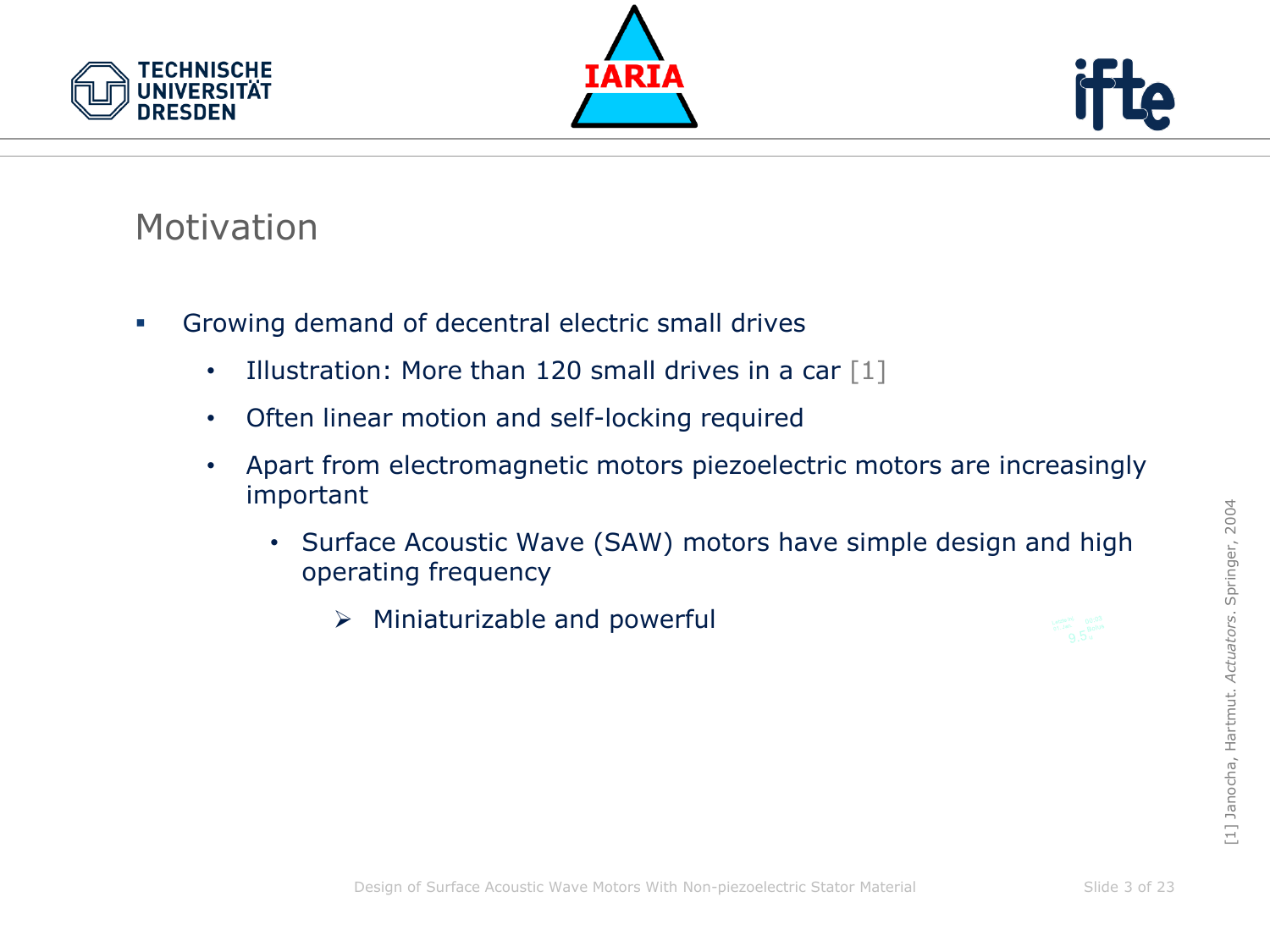





#### **Motivation**

- **•** Growing demand of decentral electric small drives
	- Illustration: More than 120 small drives in a car  $\lceil 1 \rceil$
	- Often linear motion and self-locking required
	- Apart from electromagnetic motors piezoelectric motors are increasingly important
		- Surface Acoustic Wave (SAW) motors have simple design and high operating frequency
			- $\triangleright$  Miniaturizable and powerful

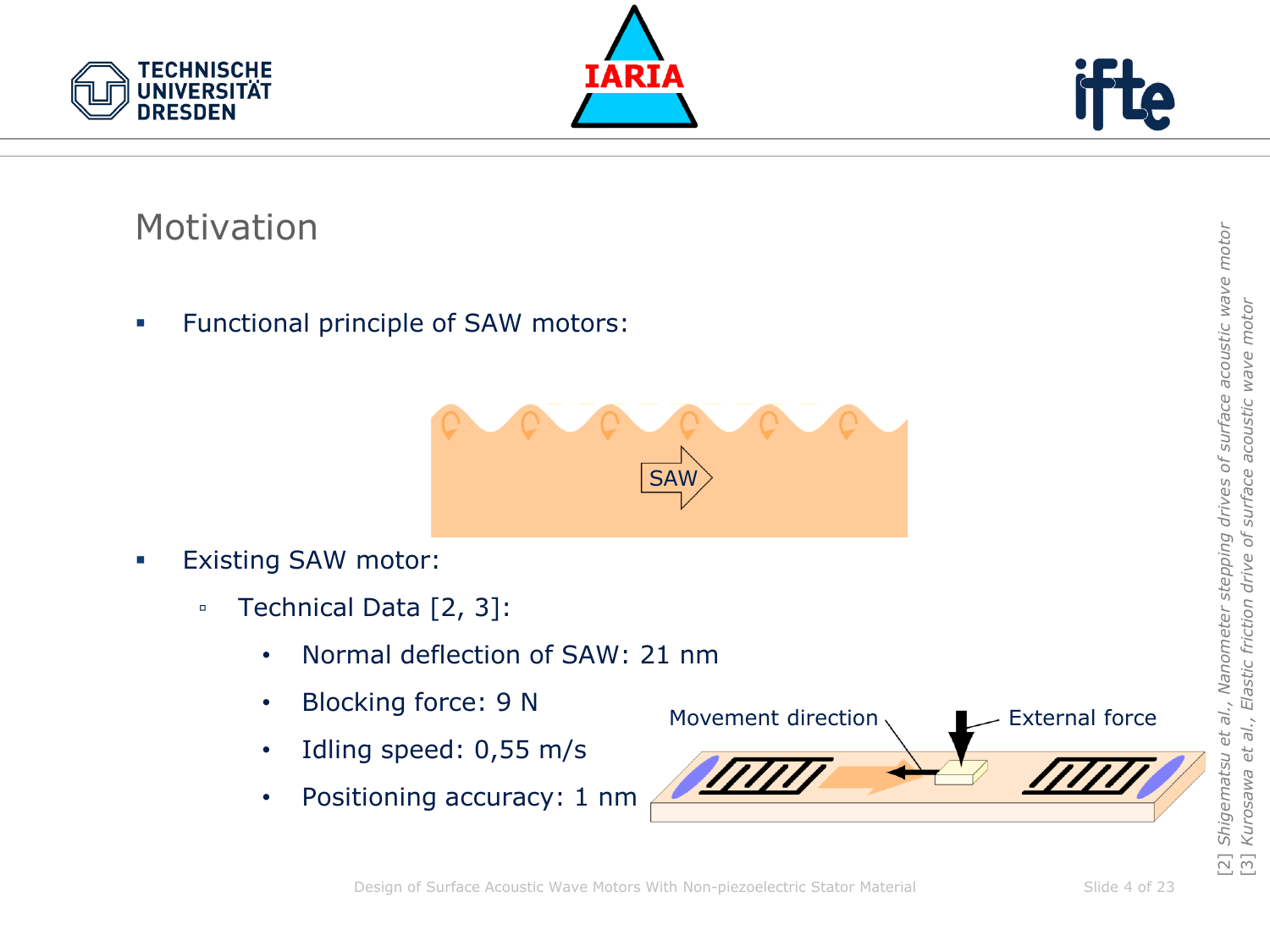





#### Motivation

**•** Functional principle of SAW motors:



- **Existing SAW motor:** 
	- Technical Data [2, 3]:
		- Normal deflection of SAW: 21 nm
		- Blocking force: 9 N
		- Idling speed: 0,55 m/s
		- Positioning accuracy: 1 nm

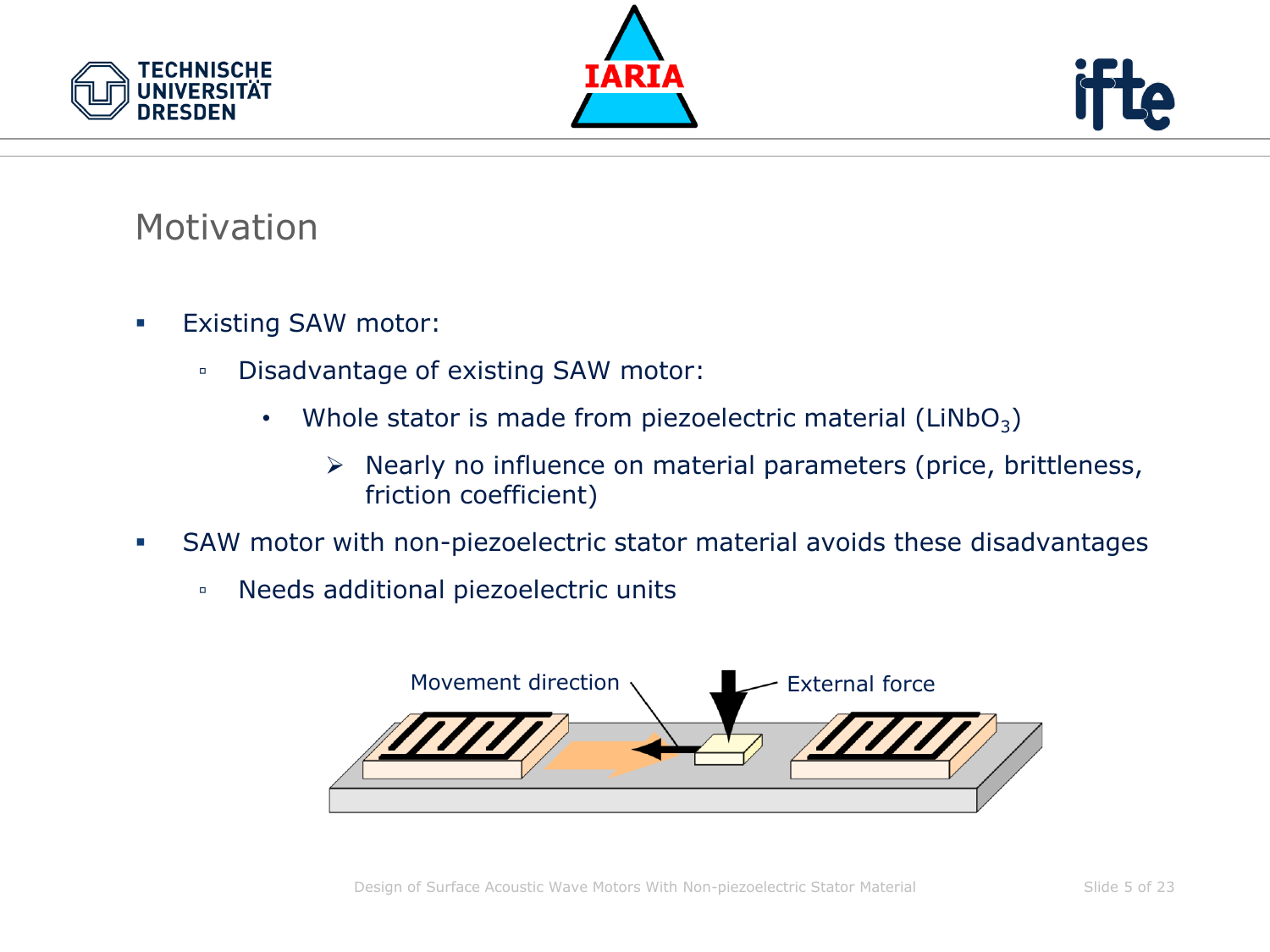





#### **Motivation**

- Existing SAW motor:
	- Disadvantage of existing SAW motor:
		- Whole stator is made from piezoelectric material (LiNbO<sub>3</sub>)
			- ➢ Nearly no influence on material parameters (price, brittleness, friction coefficient)
- **SAW motor with non-piezoelectric stator material avoids these disadvantages** 
	- Needs additional piezoelectric units

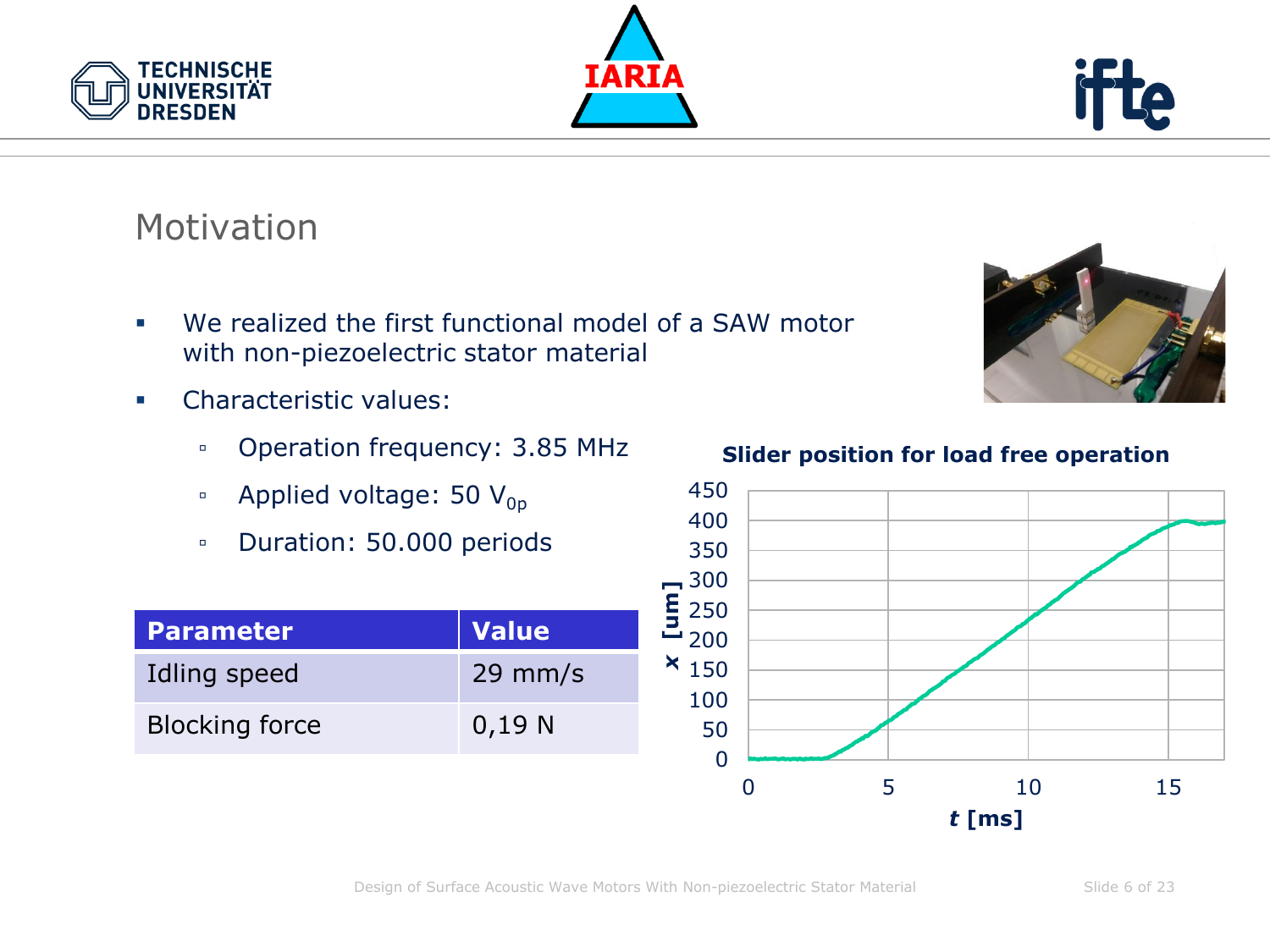Slide 6 of 23



## Motivation

**TECHNISCHE** 

**DRESDEN** 

- We realized the first functional model of a SAW motor with non-piezoelectric stator material
- Characteristic values:
	- Operation frequency: 3.85 MHz
	- **•** Applied voltage: 50  $V_{op}$
	- Duration: 50.000 periods

| <b>Parameter</b>      | Value     |
|-----------------------|-----------|
| Idling speed          | $29$ mm/s |
| <b>Blocking force</b> | 0,19 N    |

**Slider position for load free operation**





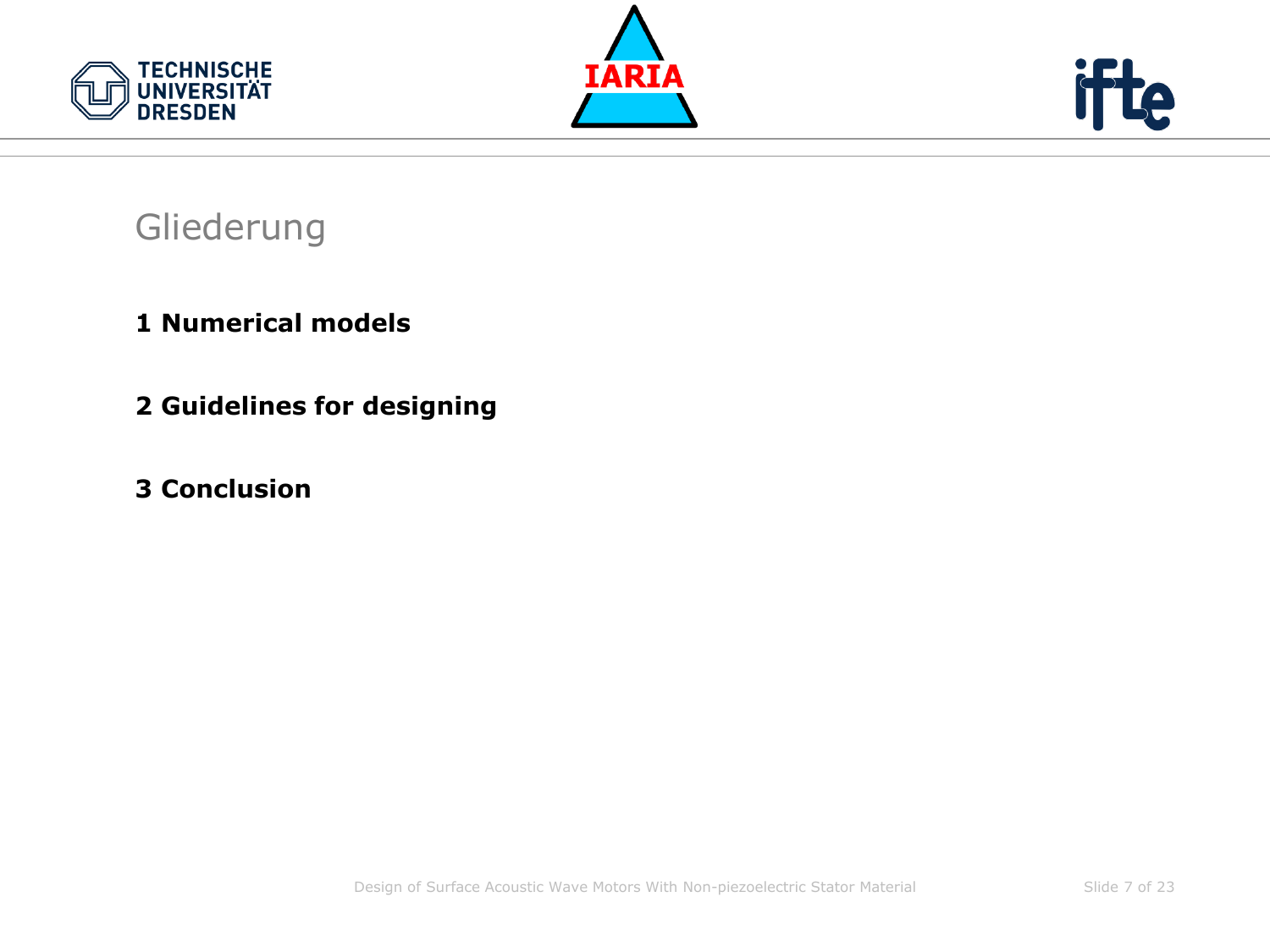





#### Gliederung

- **1 Numerical models**
- **2 Guidelines for designing**
- **3 Conclusion**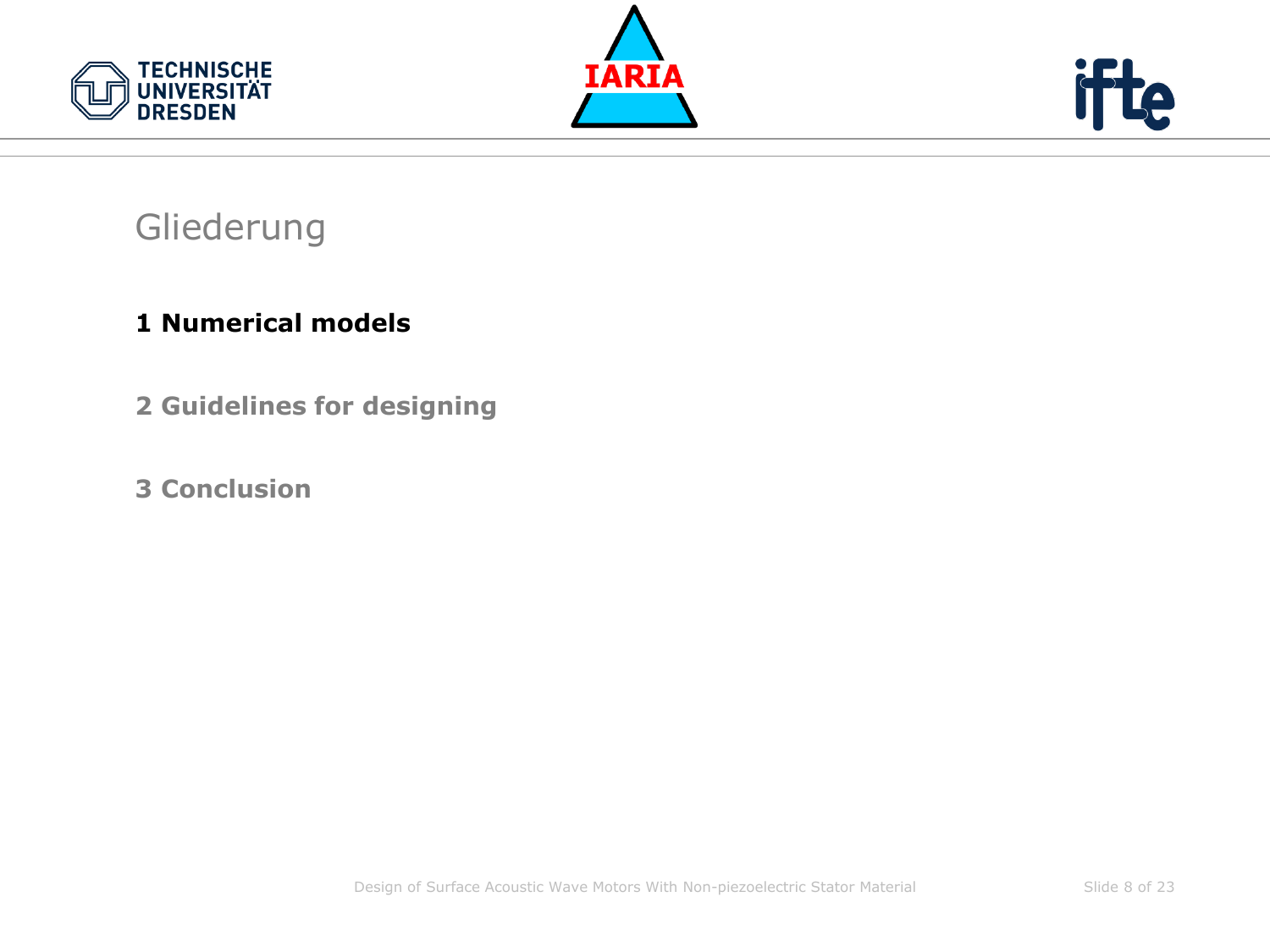





#### Gliederung

#### **1 Numerical models**

- **2 Guidelines for designing**
- **3 Conclusion**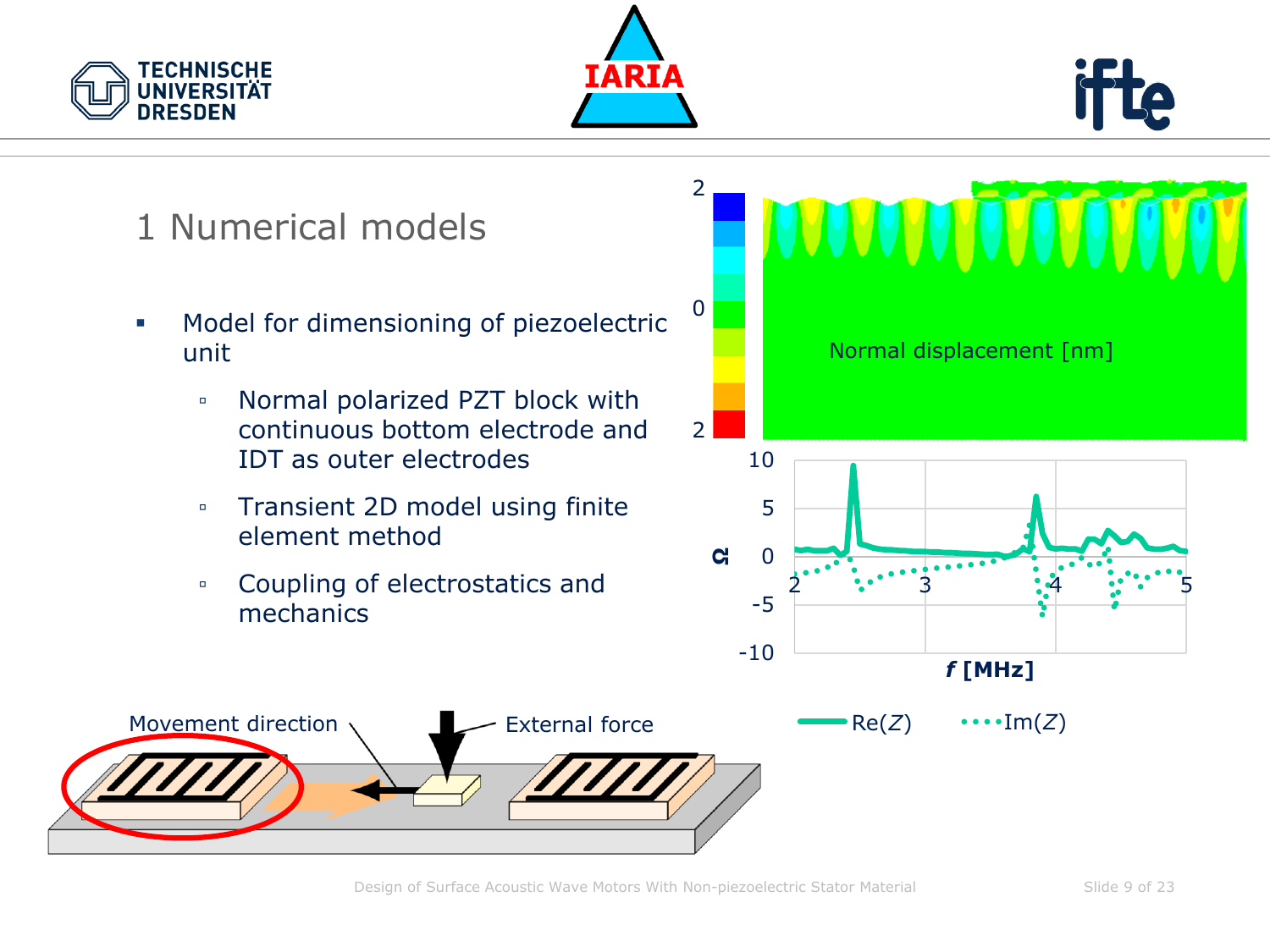





- Model for dimensioning of piezoelectric unit
	- Normal polarized PZT block with continuous bottom electrode and IDT as outer electrodes
	- Transient 2D model using finite element method
	- Coupling of electrostatics and mechanics



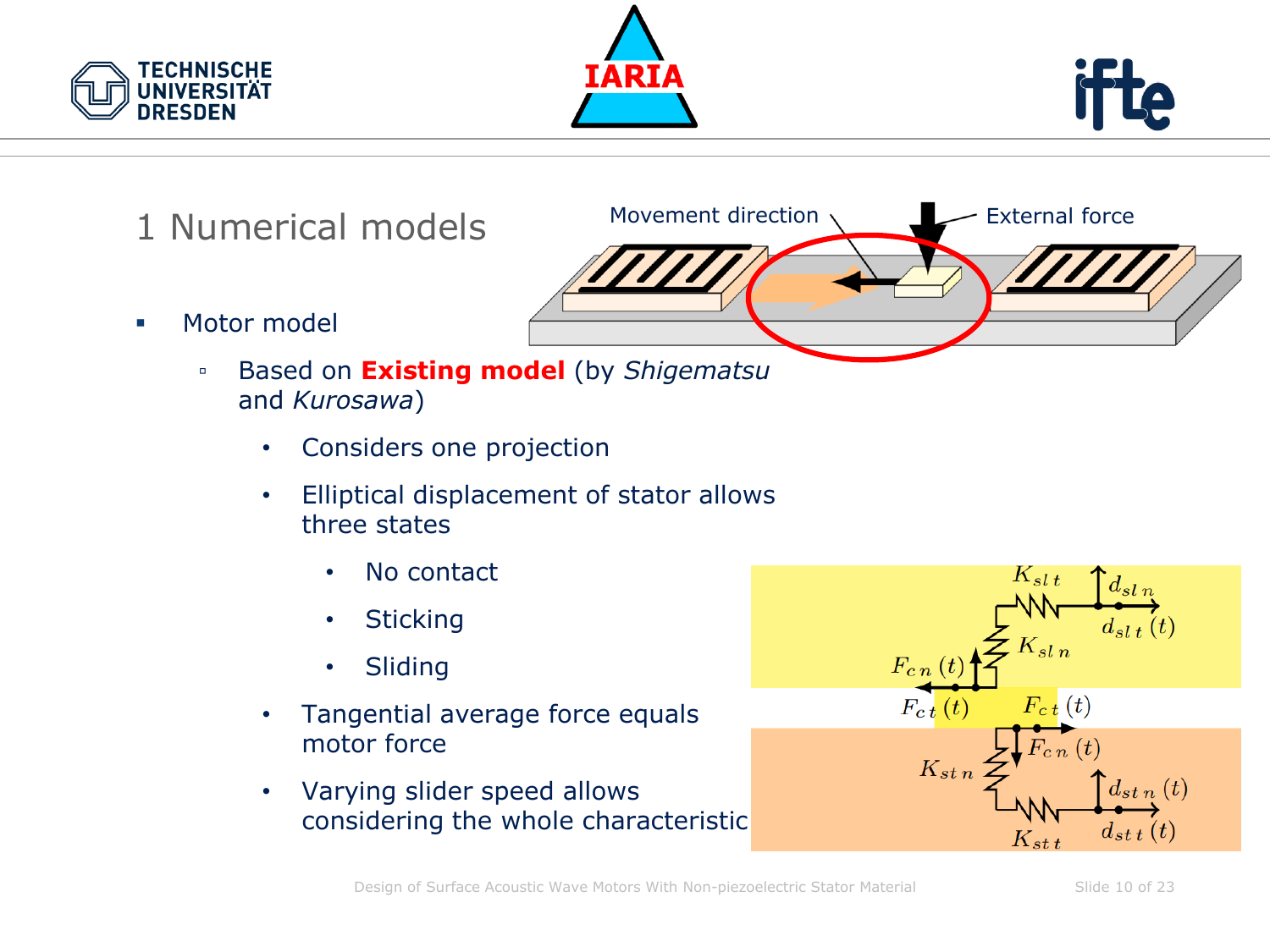





- 1 Numerical models
- Motor model
	- Based on **Existing model** (by *Shigematsu* and *Kurosawa*)
		- Considers one projection
		- Elliptical displacement of stator allows three states
			- No contact
			- Sticking
			- Sliding
		- Tangential average force equals motor force
		- Varying slider speed allows considering the whole characteristic



Movement direction  $\setminus$  External force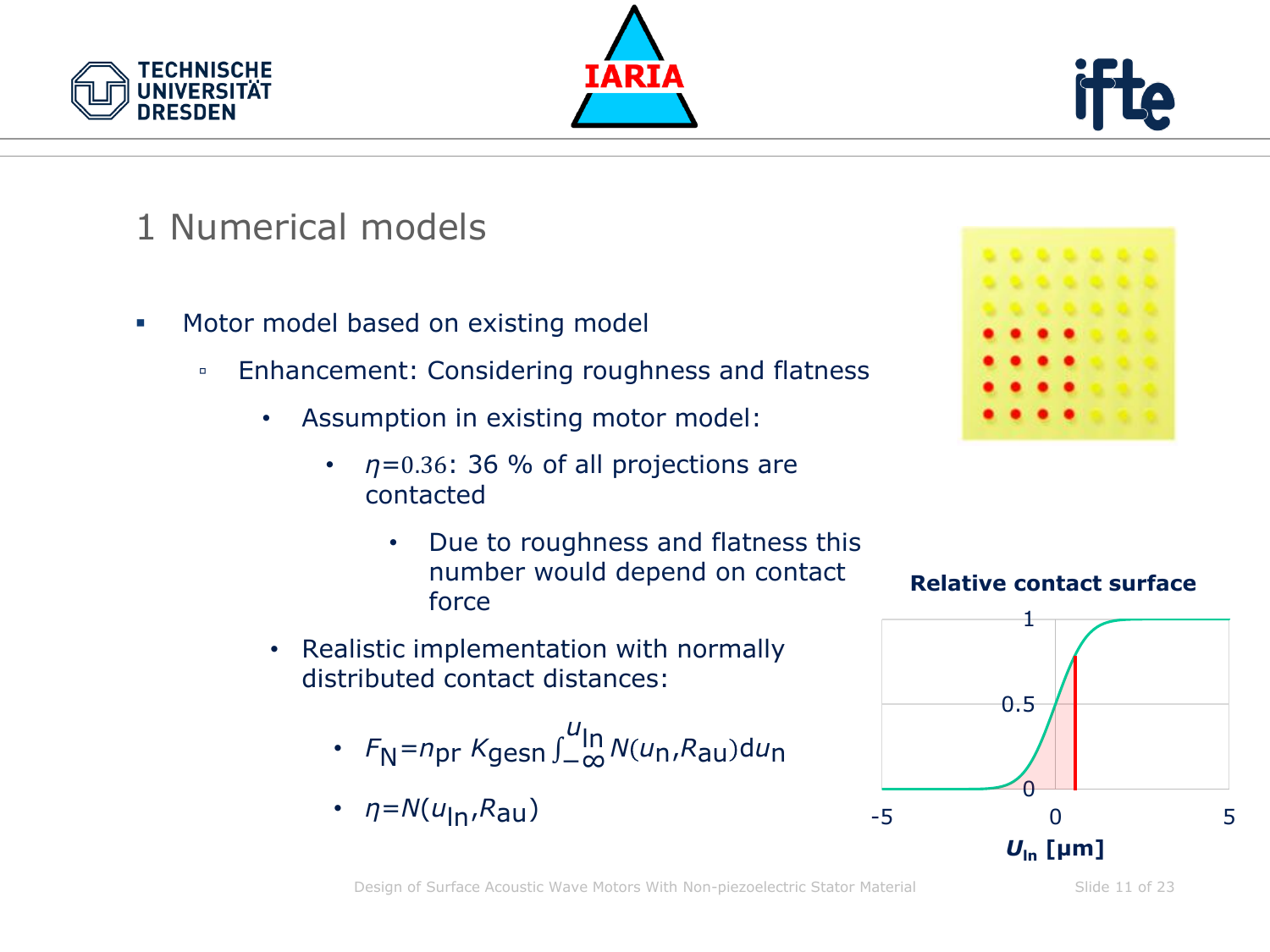





- Motor model based on existing model
	- Enhancement: Considering roughness and flatness
		- Assumption in existing motor model:
			- $\cdot$   $\eta$ =0.36: 36 % of all projections are contacted
				- Due to roughness and flatness this number would depend on contact force
		- Realistic implementation with normally distributed contact distances:
			- *F*<sub>N</sub>= $n_{\text{pr}}$  *K*gesn ∫\_∞ *u* ln *<sup>N</sup> <sup>u</sup>*n,*R*au <sup>d</sup>*u*<sup>n</sup>
			- *η*=*N*(*u*ln,*R*au)







Design of Surface Acoustic Wave Motors With Non-piezoelectric Stator Material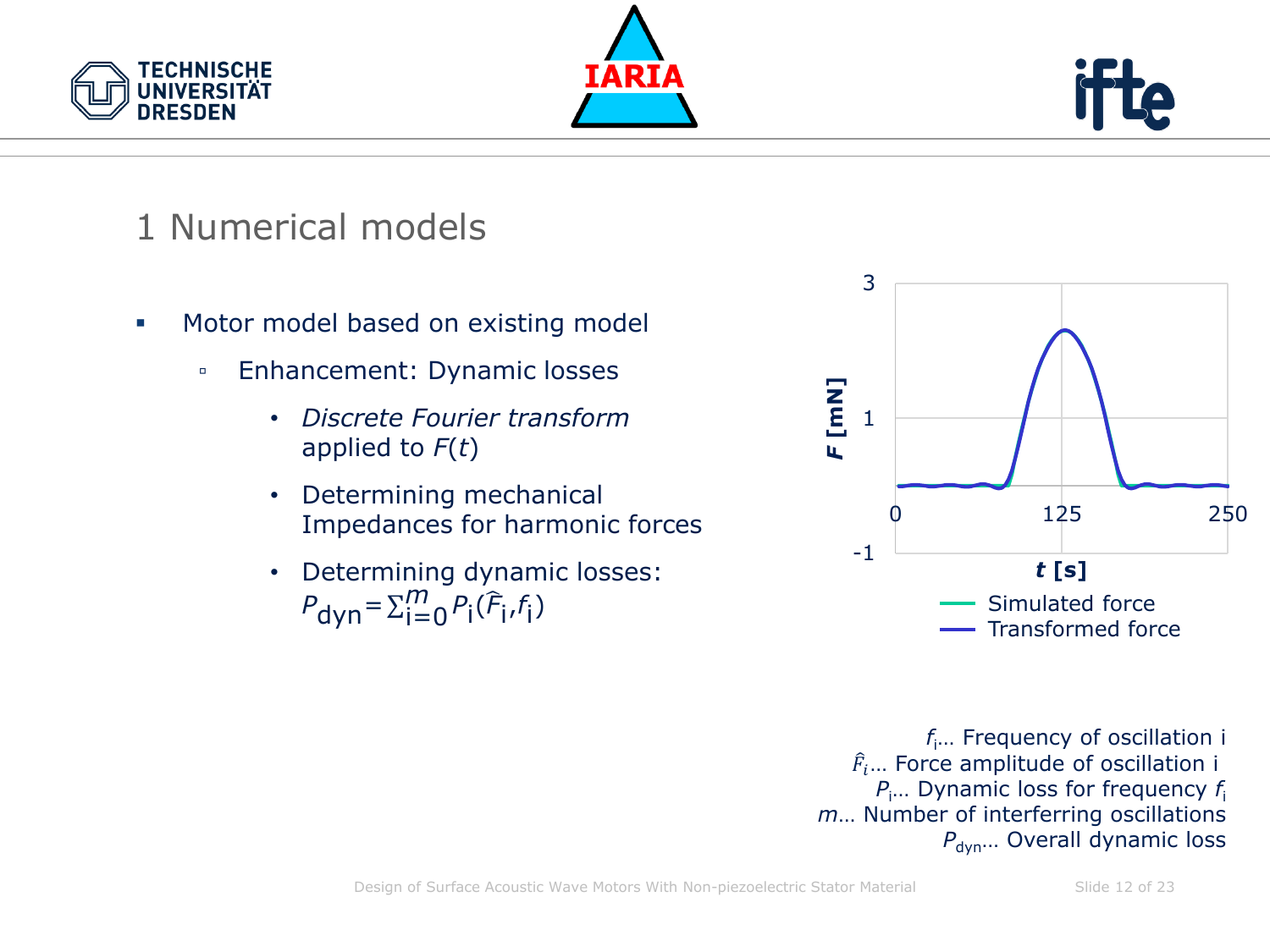





- Motor model based on existing model
	- Enhancement: Dynamic losses
		- *Discrete Fourier transform* applied to *F*(*t*)
		- Determining mechanical Impedances for harmonic forces
		- Determining dynamic losses:  $P_{\text{dyn}} = \sum_{i=0}^{m} P_i (\hat{F}_i, f_i)$



*f*i… Frequency of oscillation i  $\widehat{F}_i...$  Force amplitude of oscillation i *P*i… Dynamic loss for frequency *f*<sup>i</sup> *m*… Number of interferring oscillations *P*<sub>dyn</sub>... Overall dynamic loss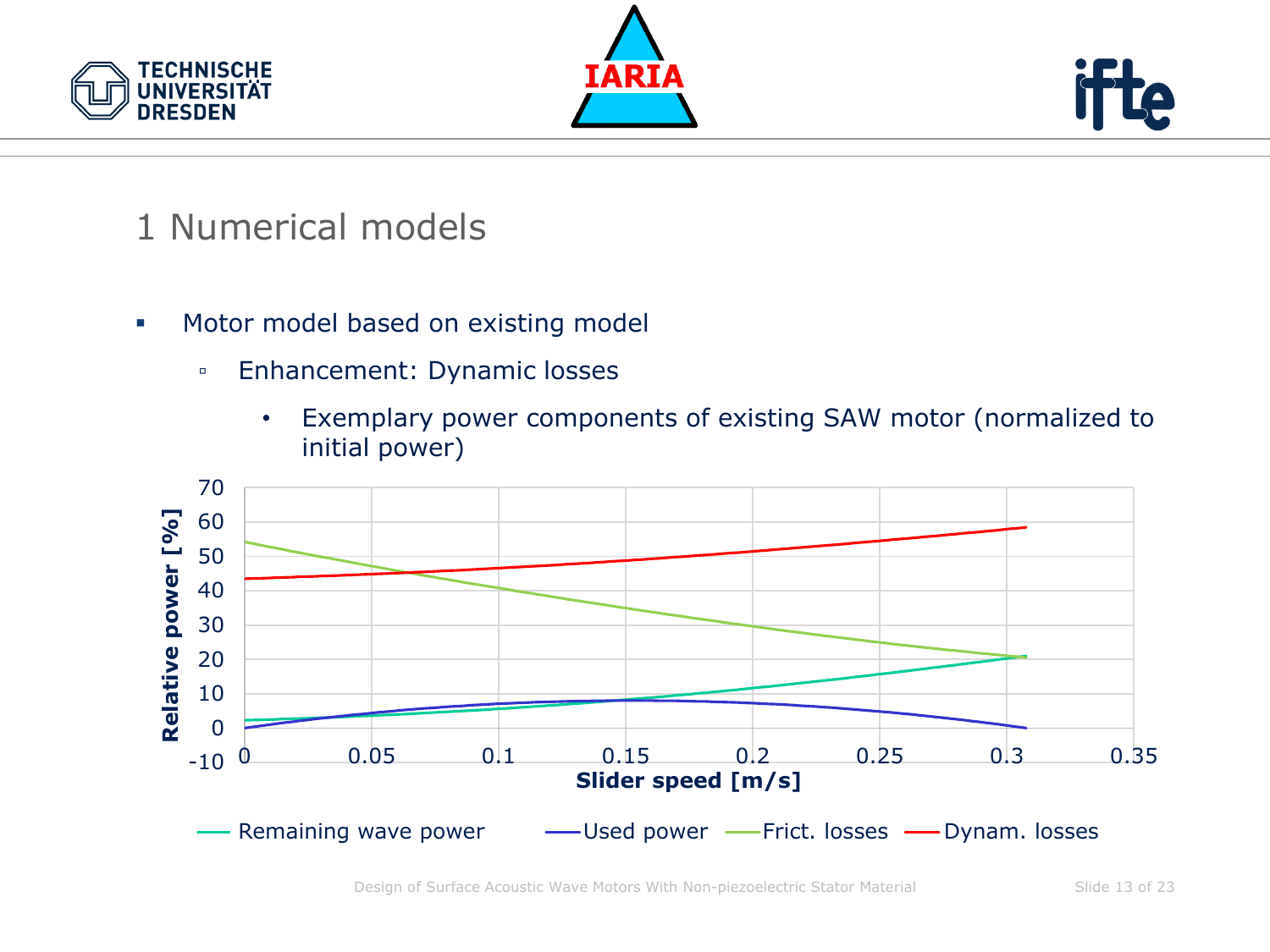





- **■** Motor model based on existing model
	- Enhancement: Dynamic losses
		- Exemplary power components of existing SAW motor (normalized to initial power)

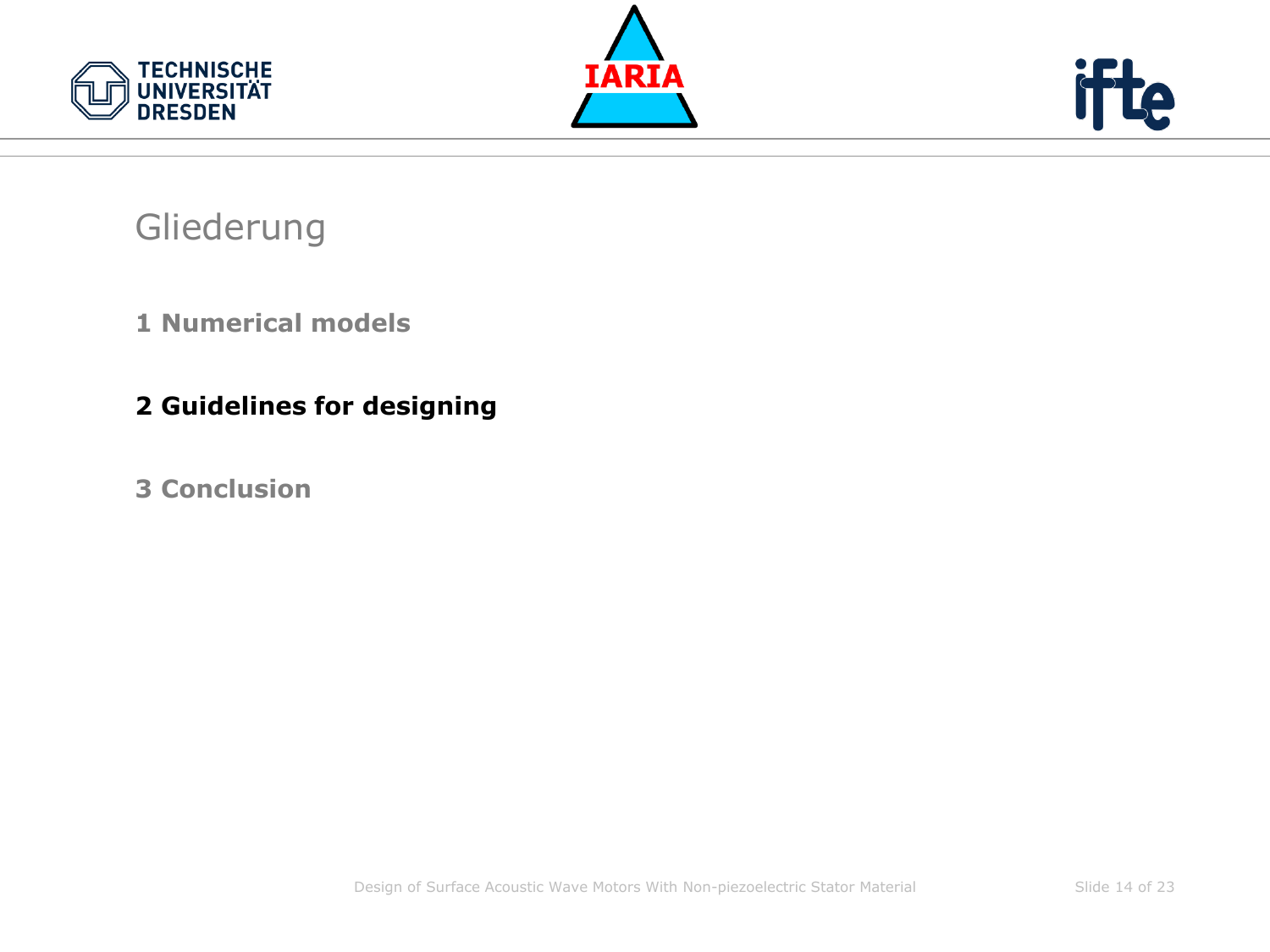





#### Gliederung

#### **1 Numerical models**

#### **2 Guidelines for designing**

#### **3 Conclusion**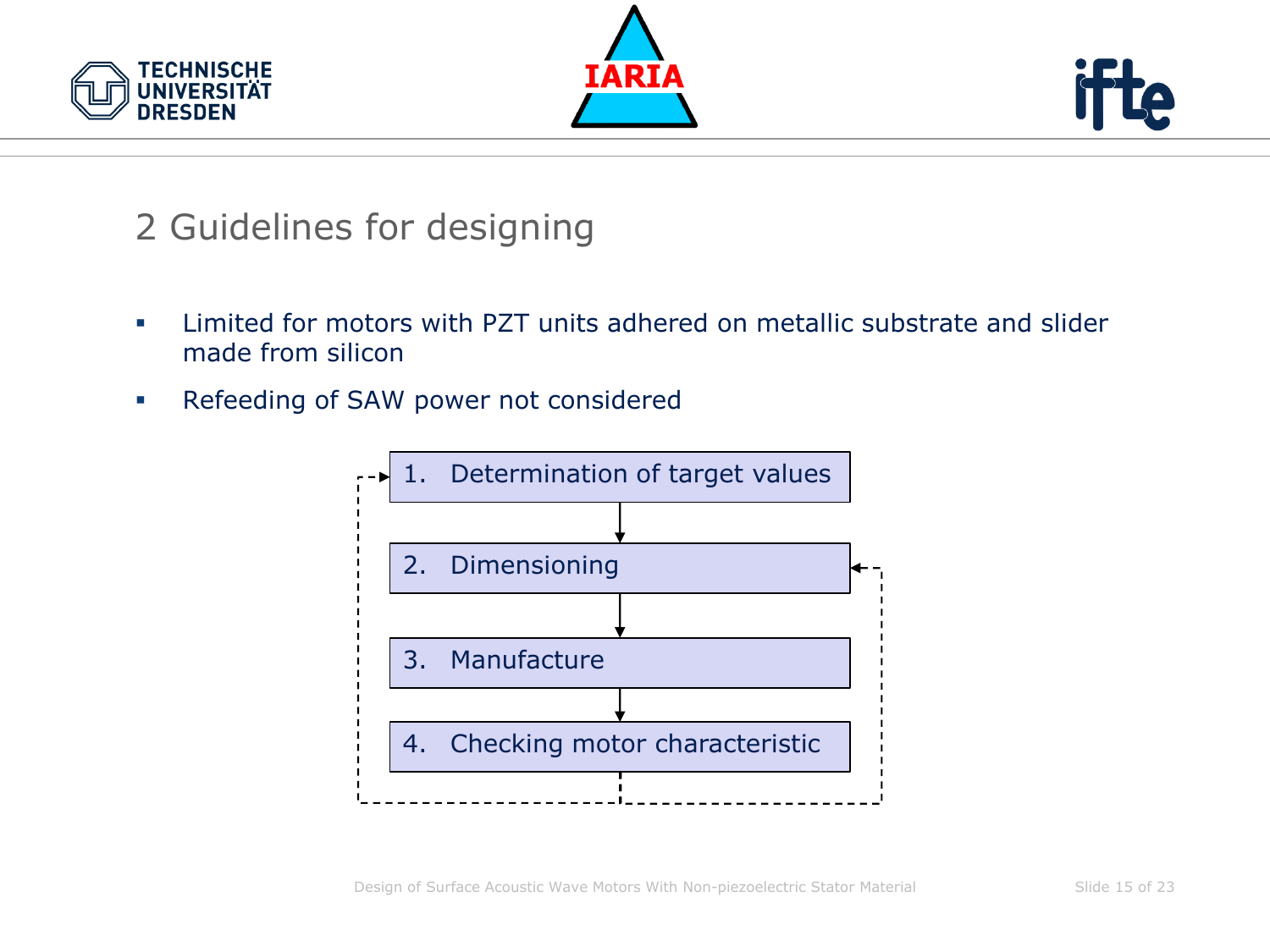





- **•** Limited for motors with PZT units adhered on metallic substrate and slider made from silicon
- Refeeding of SAW power not considered

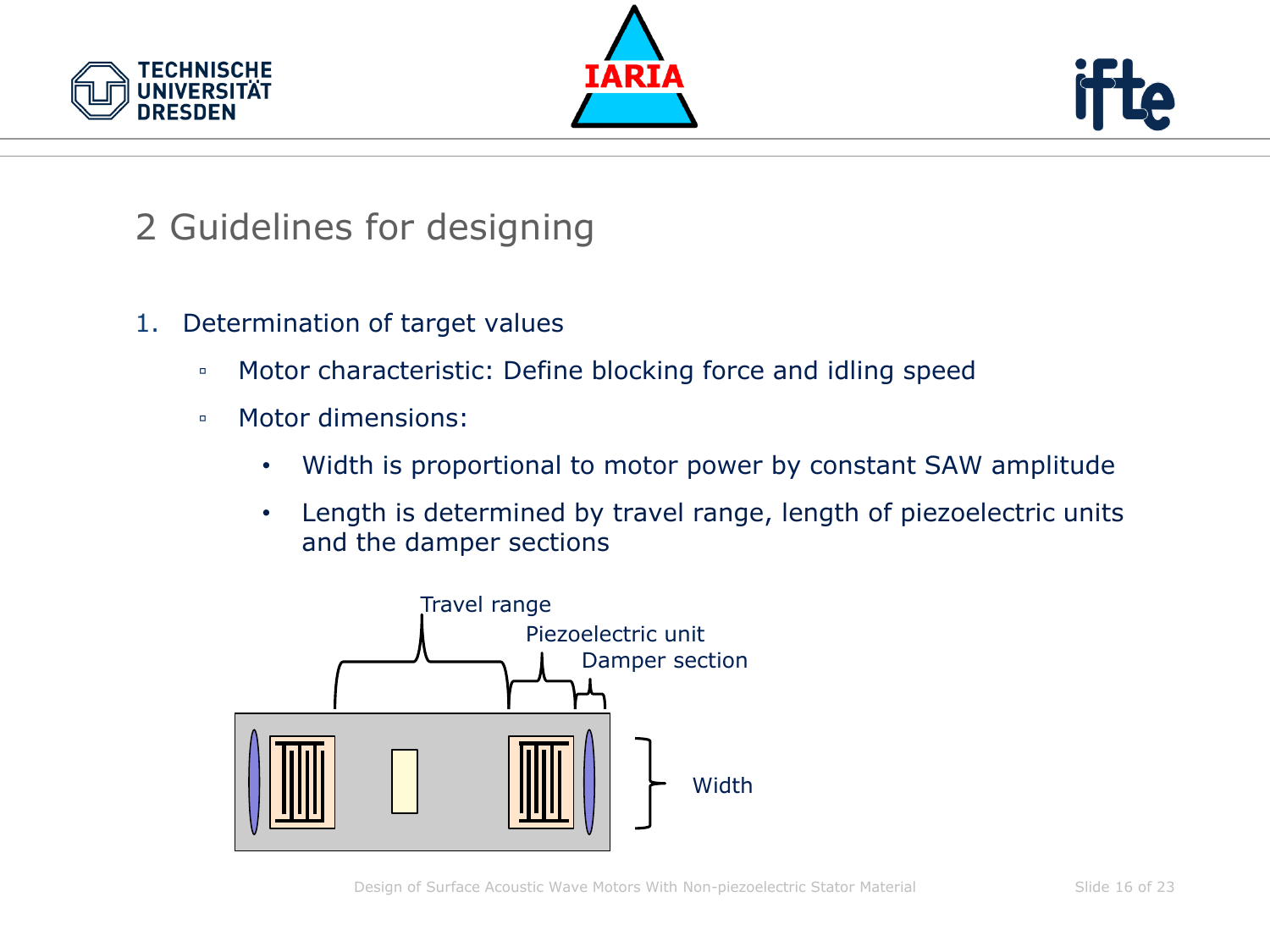





- 1. Determination of target values
	- Motor characteristic: Define blocking force and idling speed
	- Motor dimensions:
		- Width is proportional to motor power by constant SAW amplitude
		- Length is determined by travel range, length of piezoelectric units and the damper sections

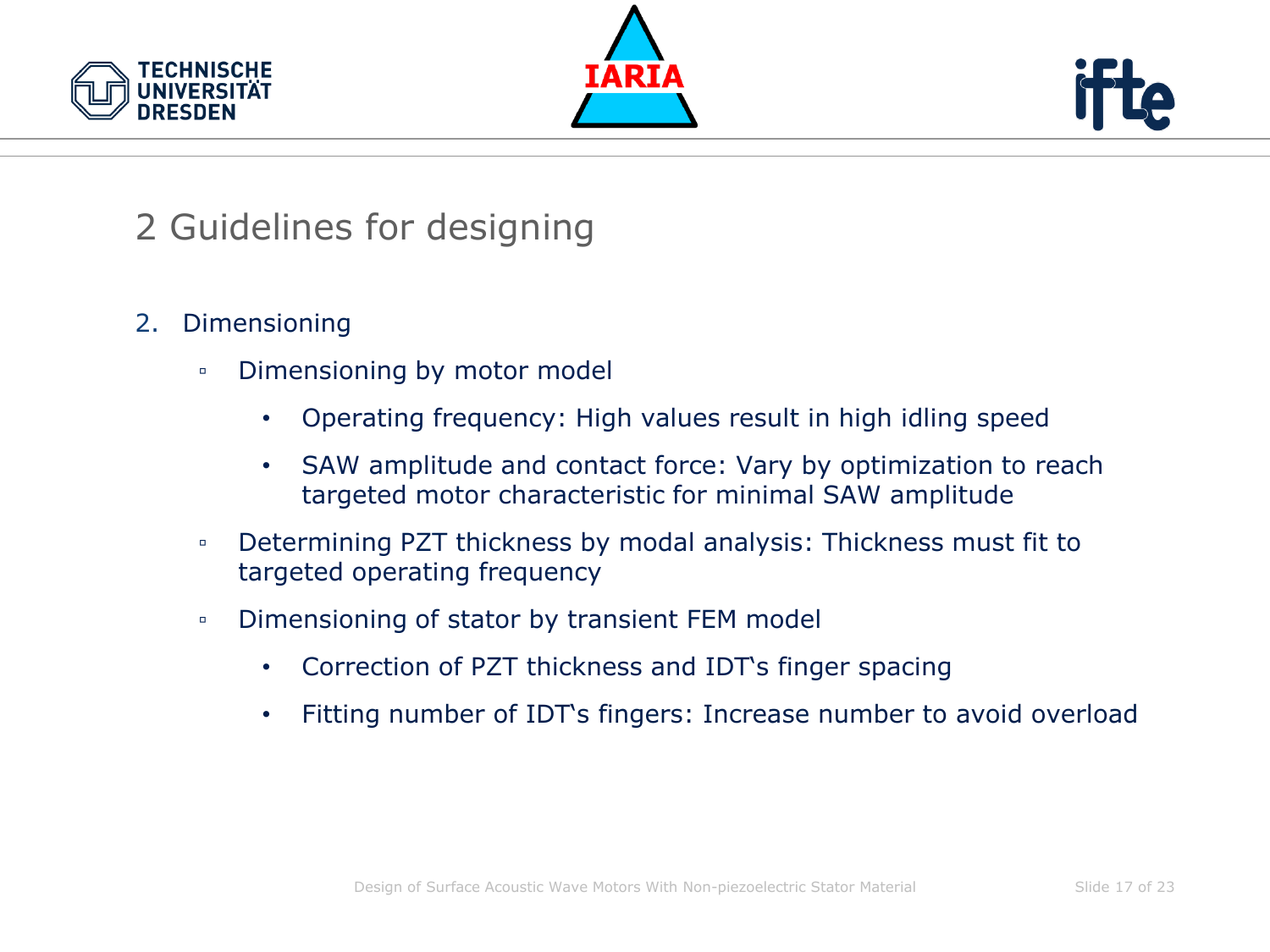





- 2. Dimensioning
	- Dimensioning by motor model
		- Operating frequency: High values result in high idling speed
		- SAW amplitude and contact force: Vary by optimization to reach targeted motor characteristic for minimal SAW amplitude
	- Determining PZT thickness by modal analysis: Thickness must fit to targeted operating frequency
	- Dimensioning of stator by transient FEM model
		- Correction of PZT thickness and IDT's finger spacing
		- Fitting number of IDT's fingers: Increase number to avoid overload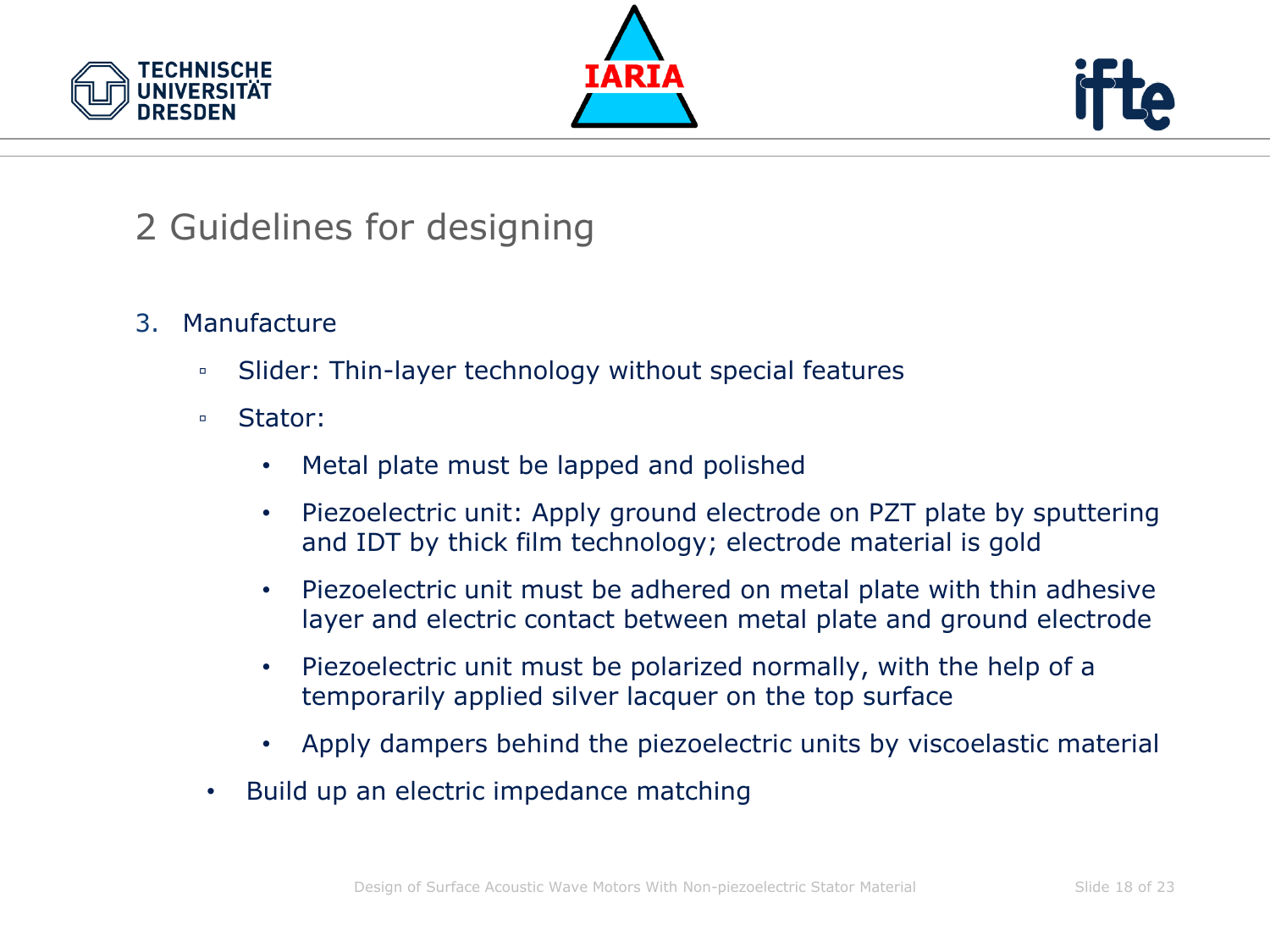





- 3. Manufacture
	- Slider: Thin-layer technology without special features
	- Stator:
		- Metal plate must be lapped and polished
		- Piezoelectric unit: Apply ground electrode on PZT plate by sputtering and IDT by thick film technology; electrode material is gold
		- Piezoelectric unit must be adhered on metal plate with thin adhesive layer and electric contact between metal plate and ground electrode
		- Piezoelectric unit must be polarized normally, with the help of a temporarily applied silver lacquer on the top surface
		- Apply dampers behind the piezoelectric units by viscoelastic material
	- Build up an electric impedance matching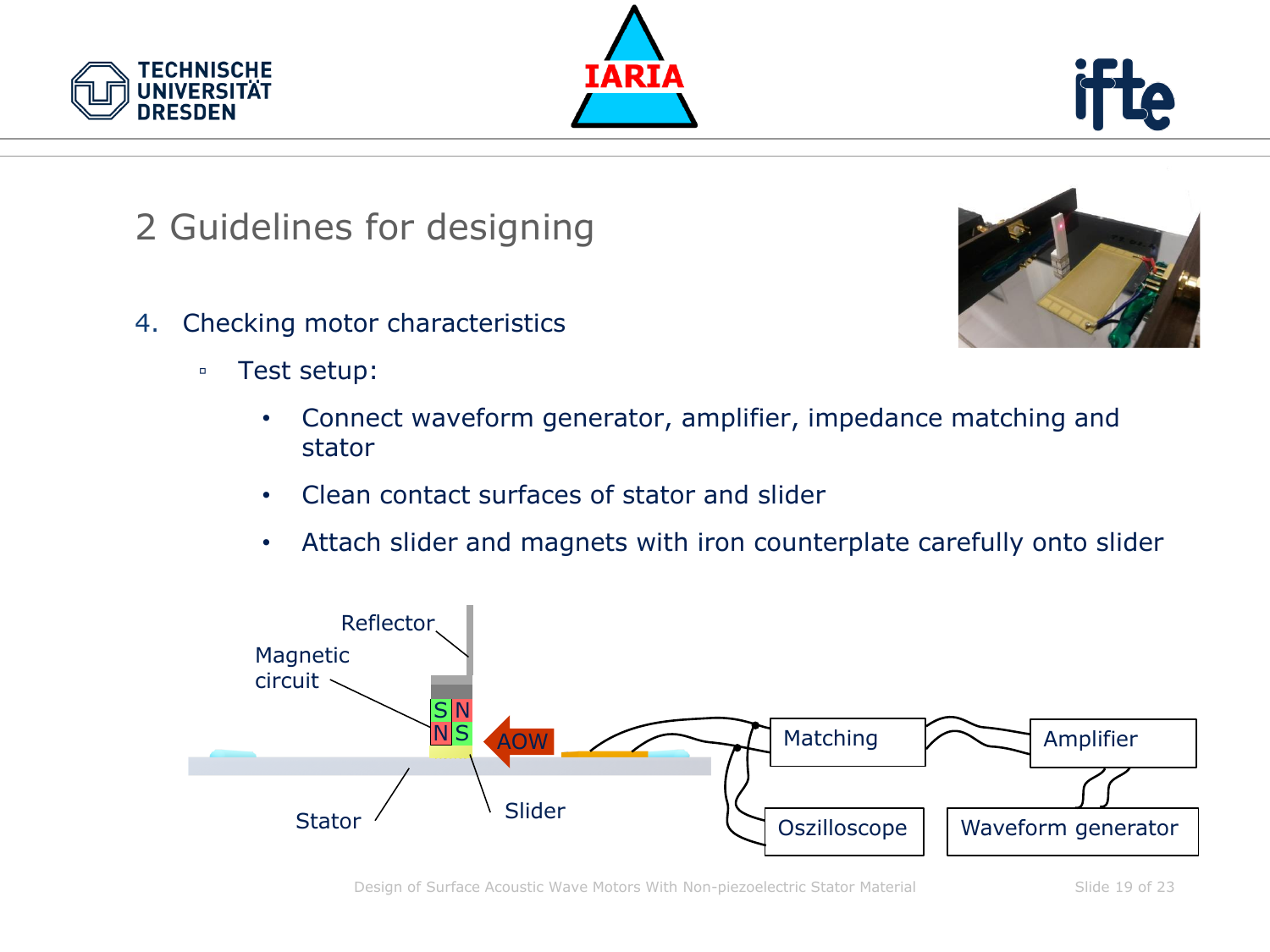





- 4. Checking motor characteristics
	- Test setup:
		- Connect waveform generator, amplifier, impedance matching and stator
		- Clean contact surfaces of stator and slider
		- Attach slider and magnets with iron counterplate carefully onto slider



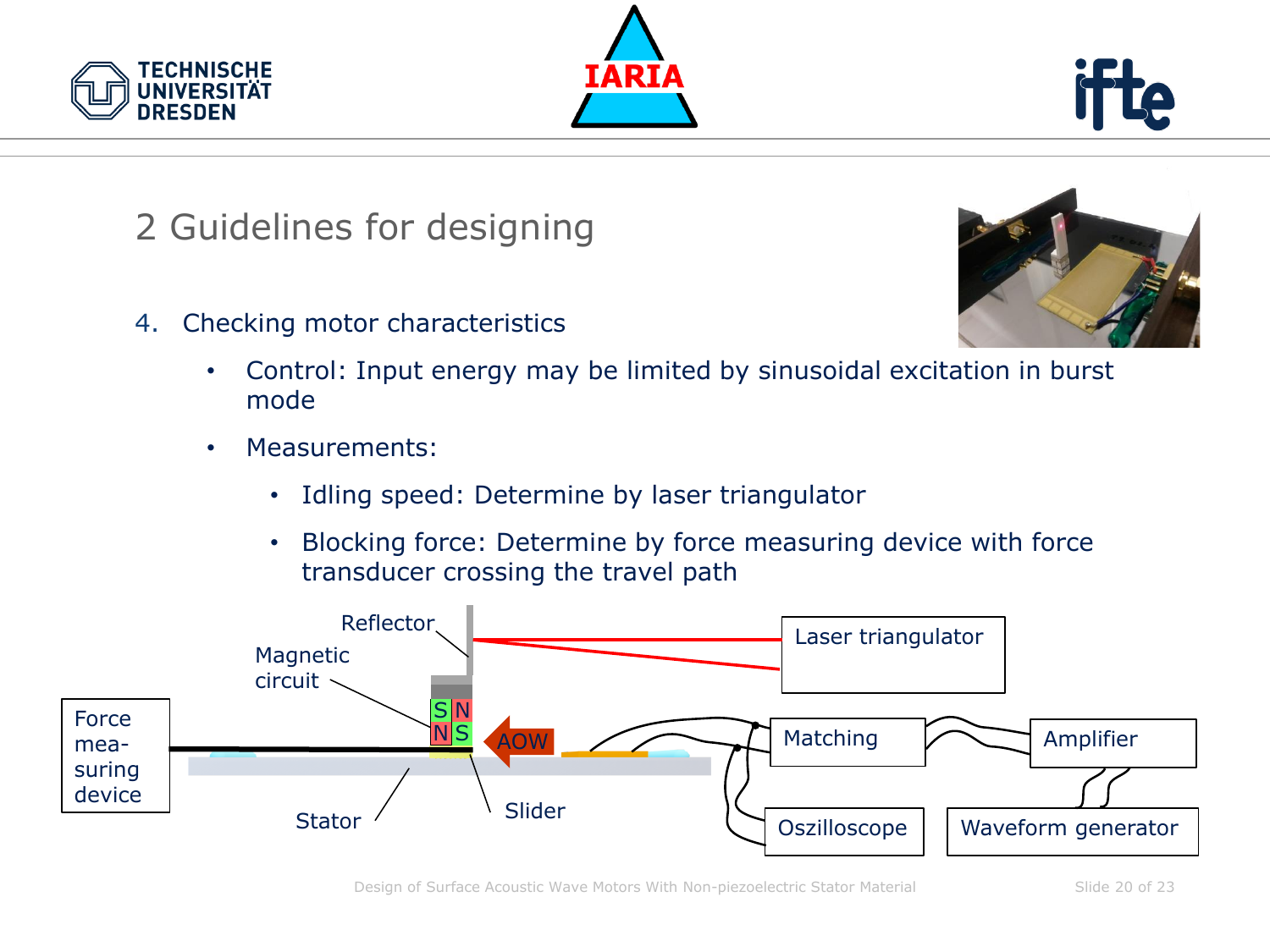





4. Checking motor characteristics



- Control: Input energy may be limited by sinusoidal excitation in burst mode
- Measurements:
	- Idling speed: Determine by laser triangulator
	- Blocking force: Determine by force measuring device with force transducer crossing the travel path

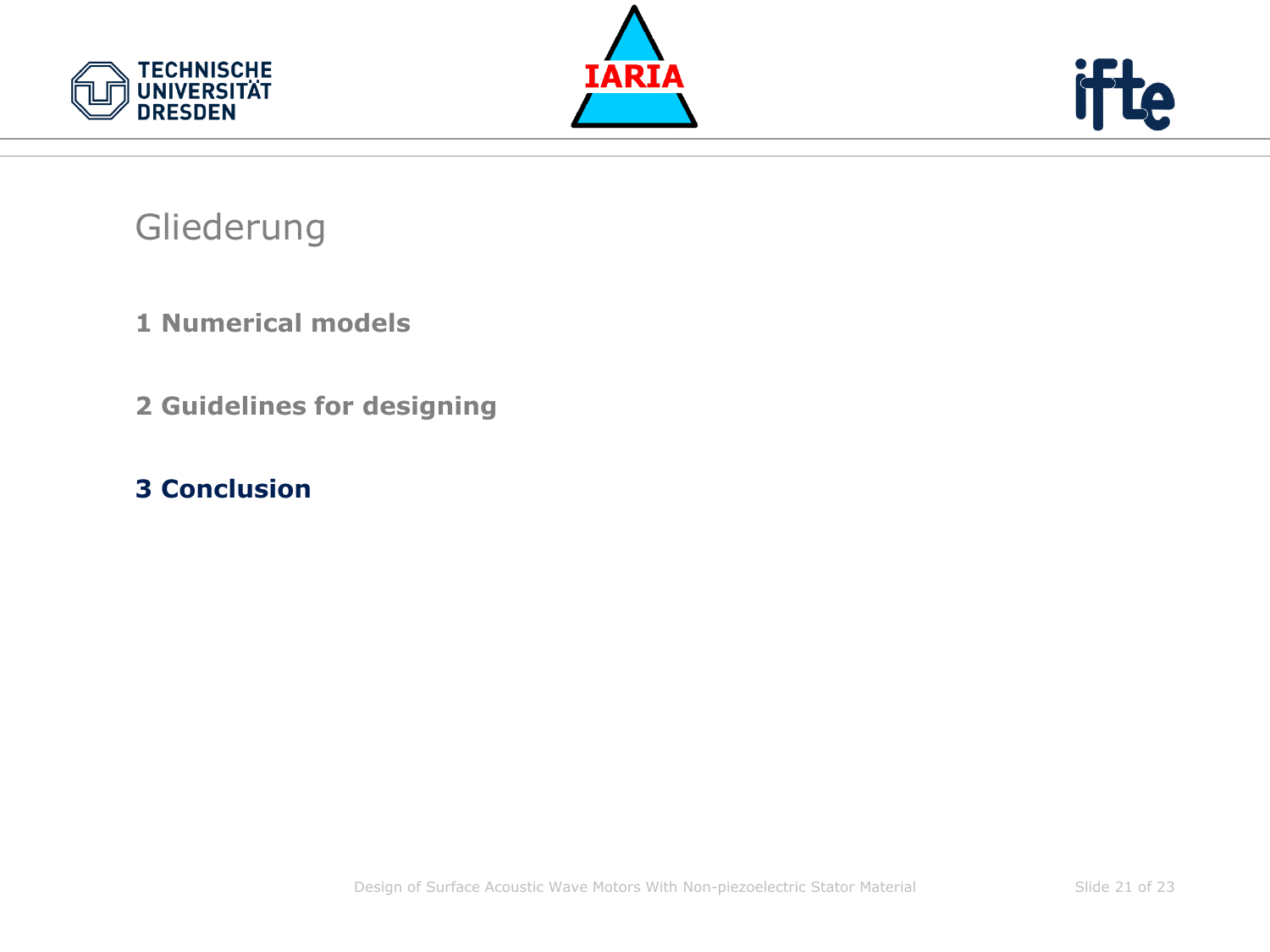





#### Gliederung

- **1 Numerical models**
- **2 Guidelines for designing**
- **3 Conclusion**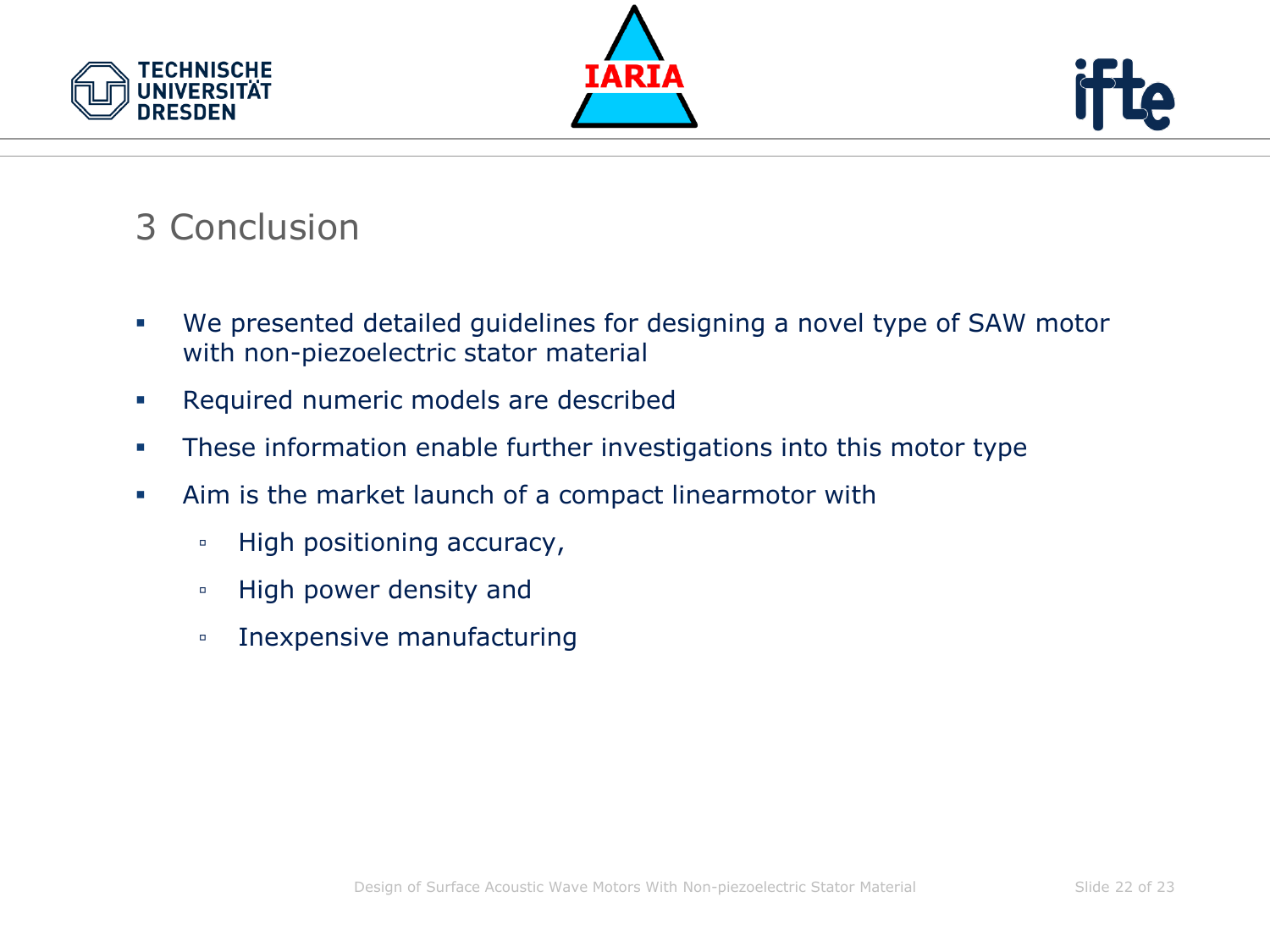





# 3 Conclusion

- We presented detailed guidelines for designing a novel type of SAW motor with non-piezoelectric stator material
- Required numeric models are described
- **•** These information enable further investigations into this motor type
- Aim is the market launch of a compact linearmotor with
	- High positioning accuracy,
	- High power density and
	- Inexpensive manufacturing